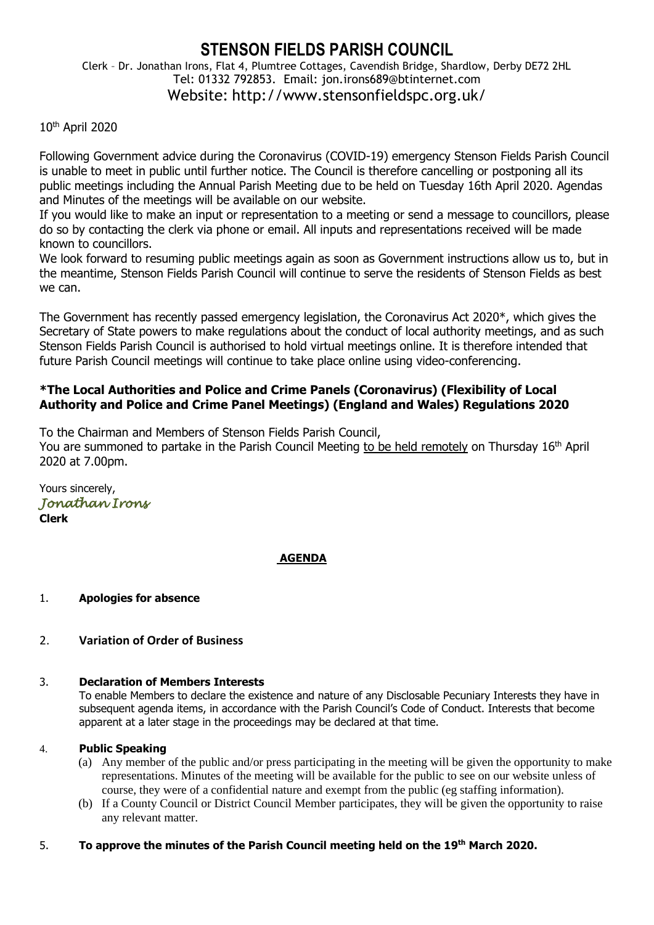# **STENSON FIELDS PARISH COUNCIL**

Clerk – Dr. Jonathan Irons, Flat 4, Plumtree Cottages, Cavendish Bridge, Shardlow, Derby DE72 2HL Tel: 01332 792853. Email: jon.irons689@btinternet.com Website: http://www.stensonfieldspc.org.uk/

# 10th April 2020

Following Government advice during the Coronavirus (COVID-19) emergency Stenson Fields Parish Council is unable to meet in public until further notice. The Council is therefore cancelling or postponing all its public meetings including the Annual Parish Meeting due to be held on Tuesday 16th April 2020. Agendas and Minutes of the meetings will be available on our website.

If you would like to make an input or representation to a meeting or send a message to councillors, please do so by contacting the clerk via phone or email. All inputs and representations received will be made known to councillors.

We look forward to resuming public meetings again as soon as Government instructions allow us to, but in the meantime, Stenson Fields Parish Council will continue to serve the residents of Stenson Fields as best we can.

The Government has recently passed emergency legislation, the Coronavirus Act 2020\*, which gives the Secretary of State powers to make regulations about the conduct of local authority meetings, and as such Stenson Fields Parish Council is authorised to hold virtual meetings online. It is therefore intended that future Parish Council meetings will continue to take place online using video-conferencing.

# **\*The Local Authorities and Police and Crime Panels (Coronavirus) (Flexibility of Local Authority and Police and Crime Panel Meetings) (England and Wales) Regulations 2020**

To the Chairman and Members of Stenson Fields Parish Council,

You are summoned to partake in the Parish Council Meeting to be held remotely on Thursday 16<sup>th</sup> April 2020 at 7.00pm.

Yours sincerely, *Jonathan Irons*  **Clerk**

# **AGENDA**

- 1. **Apologies for absence**
- 2. **Variation of Order of Business**

#### 3. **Declaration of Members Interests**

To enable Members to declare the existence and nature of any Disclosable Pecuniary Interests they have in subsequent agenda items, in accordance with the Parish Council's Code of Conduct. Interests that become apparent at a later stage in the proceedings may be declared at that time.

#### 4. **Public Speaking**

- (a) Any member of the public and/or press participating in the meeting will be given the opportunity to make representations. Minutes of the meeting will be available for the public to see on our website unless of course, they were of a confidential nature and exempt from the public (eg staffing information).
- (b) If a County Council or District Council Member participates, they will be given the opportunity to raise any relevant matter.

### 5. **To approve the minutes of the Parish Council meeting held on the 19th March 2020.**